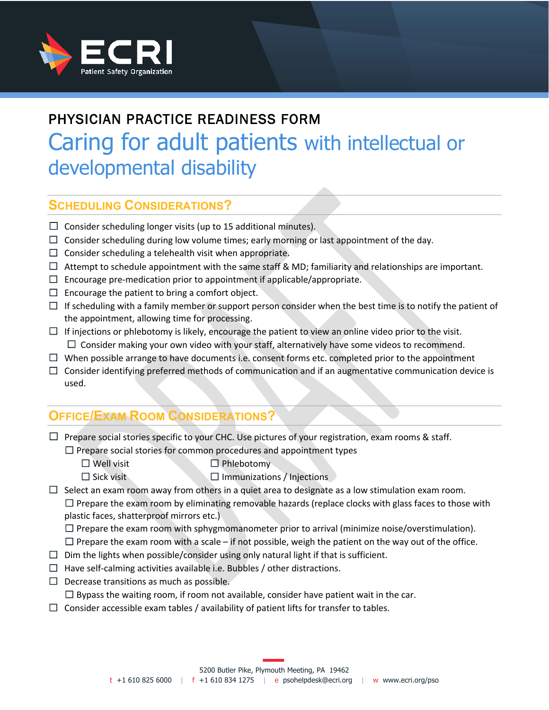

# PHYSICIAN PRACTICE READINESS FORM Caring for adult patients with intellectual or developmental disability

### **SCHEDULING CONSIDERATIONS?**

- $\Box$  Consider scheduling longer visits (up to 15 additional minutes).
- $\Box$  Consider scheduling during low volume times; early morning or last appointment of the day.
- $\Box$  Consider scheduling a telehealth visit when appropriate.
- $\Box$  Attempt to schedule appointment with the same staff & MD; familiarity and relationships are important.
- $\Box$  Encourage pre-medication prior to appointment if applicable/appropriate.
- $\Box$  Encourage the patient to bring a comfort object.
- $\Box$  If scheduling with a family member or support person consider when the best time is to notify the patient of the appointment, allowing time for processing.
- $\Box$  If injections or phlebotomy is likely, encourage the patient to view an online video prior to the visit.  $\Box$  Consider making your own video with your staff, alternatively have some videos to recommend.
- $\Box$  When possible arrange to have documents i.e. consent forms etc. completed prior to the appointment
- $\Box$  Consider identifying preferred methods of communication and if an augmentative communication device is used.

## **OFFICE/EXAM ROOM CONSIDERATIONS?**

- $\Box$  Prepare social stories specific to your CHC. Use pictures of your registration, exam rooms & staff.
	- $\Box$  Prepare social stories for common procedures and appointment types
		- ☐ Well visit ☐ Phlebotomy
		- ☐ Sick visit ☐ Immunizations / Injections

 $\Box$  Select an exam room away from others in a quiet area to designate as a low stimulation exam room.  $\Box$  Prepare the exam room by eliminating removable hazards (replace clocks with glass faces to those with plastic faces, shatterproof mirrors etc.)

 $\Box$  Prepare the exam room with sphygmomanometer prior to arrival (minimize noise/overstimulation).

 $\Box$  Prepare the exam room with a scale – if not possible, weigh the patient on the way out of the office.

- $\Box$  Dim the lights when possible/consider using only natural light if that is sufficient.
- $\Box$  Have self-calming activities available i.e. Bubbles / other distractions.
- $\Box$  Decrease transitions as much as possible.

 $\Box$  Bypass the waiting room, if room not available, consider have patient wait in the car.

 $\Box$  Consider accessible exam tables / availability of patient lifts for transfer to tables.